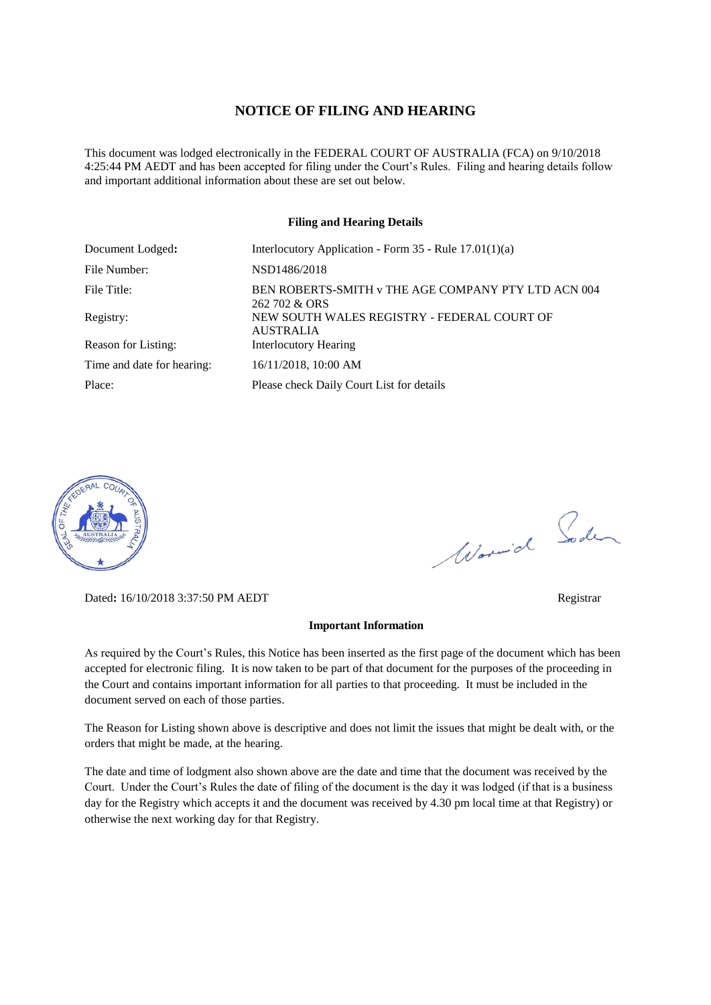#### **NOTICE OF FILING AND HEARING**

This document was lodged electronically in the FEDERAL COURT OF AUSTRALIA (FCA) on 9/10/2018 4:25:44 PM AEDT and has been accepted for filing under the Court's Rules. Filing and hearing details follow and important additional information about these are set out below.

#### **Filing and Hearing Details**

| Document Lodged:           | Interlocutory Application - Form $35$ - Rule $17.01(1)(a)$           |
|----------------------------|----------------------------------------------------------------------|
| File Number:               | NSD1486/2018                                                         |
| File Title:                | BEN ROBERTS-SMITH v THE AGE COMPANY PTY LTD ACN 004<br>262 702 & ORS |
| Registry:                  | NEW SOUTH WALES REGISTRY - FEDERAL COURT OF<br><b>AUSTRALIA</b>      |
| Reason for Listing:        | <b>Interlocutory Hearing</b>                                         |
| Time and date for hearing: | 16/11/2018, 10:00 AM                                                 |
| Place:                     | Please check Daily Court List for details                            |



Dated**:** 16/10/2018 3:37:50 PM AEDT Registrar

#### **Important Information**

As required by the Court's Rules, this Notice has been inserted as the first page of the document which has been accepted for electronic filing. It is now taken to be part of that document for the purposes of the proceeding in the Court and contains important information for all parties to that proceeding. It must be included in the document served on each of those parties.

The Reason for Listing shown above is descriptive and does not limit the issues that might be dealt with, or the orders that might be made, at the hearing.

The date and time of lodgment also shown above are the date and time that the document was received by the Court. Under the Court's Rules the date of filing of the document is the day it was lodged (if that is a business day for the Registry which accepts it and the document was received by 4.30 pm local time at that Registry) or otherwise the next working day for that Registry.

Worwich Soden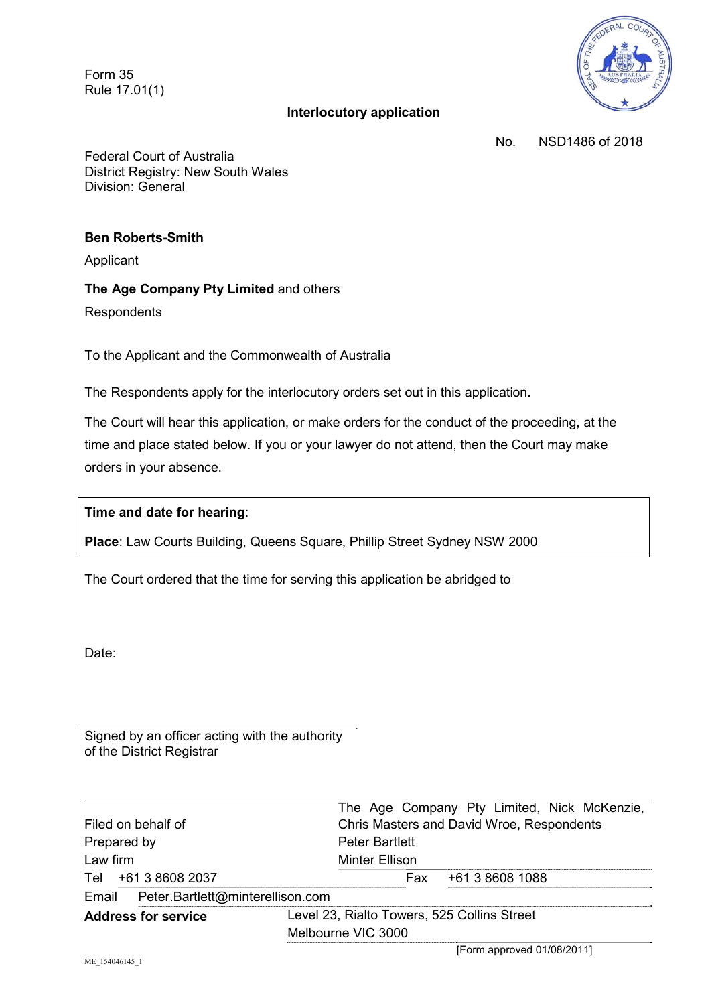Form 35 Rule 17.01(1)

# **Interlocutory application**



No. NSD1486 of 2018

Federal Court of Australia District Registry: New South Wales Division: General

# **Ben Roberts-Smith**

Applicant

## **The Age Company Pty Limited** and others

**Respondents** 

To the Applicant and the Commonwealth of Australia

The Respondents apply for the interlocutory orders set out in this application.

The Court will hear this application, or make orders for the conduct of the proceeding, at the time and place stated below. If you or your lawyer do not attend, then the Court may make orders in your absence.

## **Time and date for hearing**:

**Place**: Law Courts Building, Queens Square, Phillip Street Sydney NSW 2000

The Court ordered that the time for serving this application be abridged to

Date:

Signed by an officer acting with the authority of the District Registrar

|                                        | The Age Company Pty Limited, Nick McKenzie, |
|----------------------------------------|---------------------------------------------|
| Filed on behalf of                     | Chris Masters and David Wroe, Respondents   |
| Prepared by                            | <b>Peter Bartlett</b>                       |
| Law firm                               | <b>Minter Ellison</b>                       |
| Tel +61 3 8608 2037                    | +61 3 8608 1088<br>Fax                      |
| Email Peter.Bartlett@minterellison.com |                                             |
| <b>Address for service</b>             | Level 23, Rialto Towers, 525 Collins Street |
|                                        | Melbourne VIC 3000                          |
|                                        |                                             |

[Form approved 01/08/2011]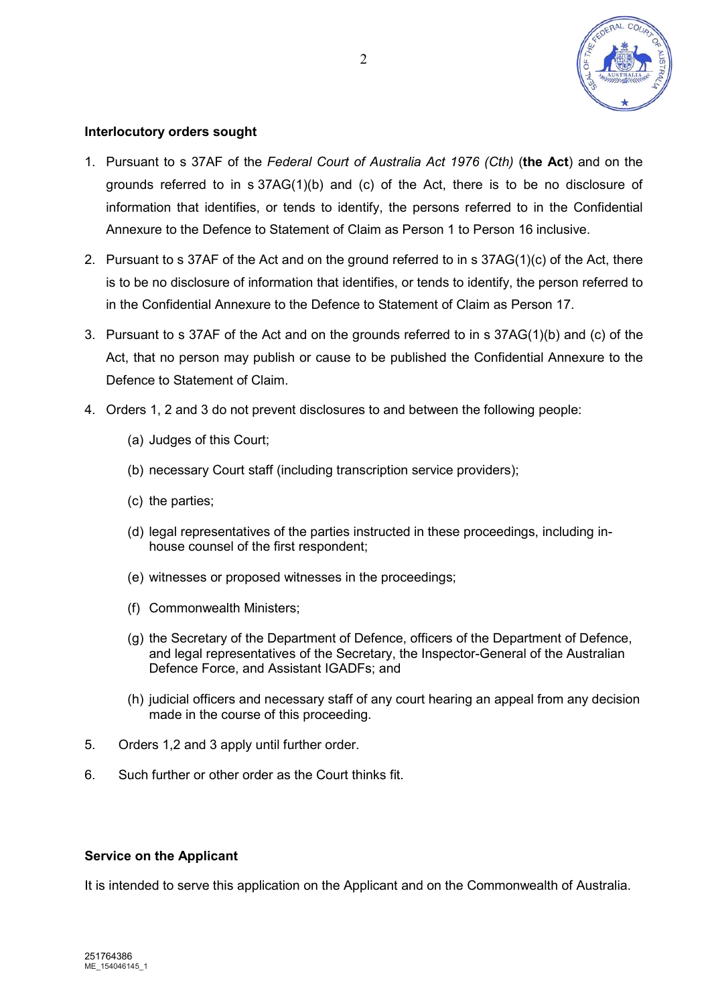

# **Interlocutory orders sought**

- 1. Pursuant to s 37AF of the *Federal Court of Australia Act 1976 (Cth)* (**the Act**) and on the grounds referred to in  $s$  37AG(1)(b) and (c) of the Act, there is to be no disclosure of information that identifies, or tends to identify, the persons referred to in the Confidential Annexure to the Defence to Statement of Claim as Person 1 to Person 16 inclusive.
- 2. Pursuant to s 37AF of the Act and on the ground referred to in s 37AG(1)(c) of the Act, there is to be no disclosure of information that identifies, or tends to identify, the person referred to in the Confidential Annexure to the Defence to Statement of Claim as Person 17.
- 3. Pursuant to s 37AF of the Act and on the grounds referred to in s 37AG(1)(b) and (c) of the Act, that no person may publish or cause to be published the Confidential Annexure to the Defence to Statement of Claim.
- 4. Orders 1, 2 and 3 do not prevent disclosures to and between the following people:
	- (a) Judges of this Court;
	- (b) necessary Court staff (including transcription service providers);
	- (c) the parties;
	- (d) legal representatives of the parties instructed in these proceedings, including inhouse counsel of the first respondent;
	- (e) witnesses or proposed witnesses in the proceedings;
	- (f) Commonwealth Ministers;
	- (g) the Secretary of the Department of Defence, officers of the Department of Defence, and legal representatives of the Secretary, the Inspector-General of the Australian Defence Force, and Assistant IGADFs; and
	- (h) judicial officers and necessary staff of any court hearing an appeal from any decision made in the course of this proceeding.
- 5. Orders 1,2 and 3 apply until further order.
- 6. Such further or other order as the Court thinks fit.

## **Service on the Applicant**

It is intended to serve this application on the Applicant and on the Commonwealth of Australia.